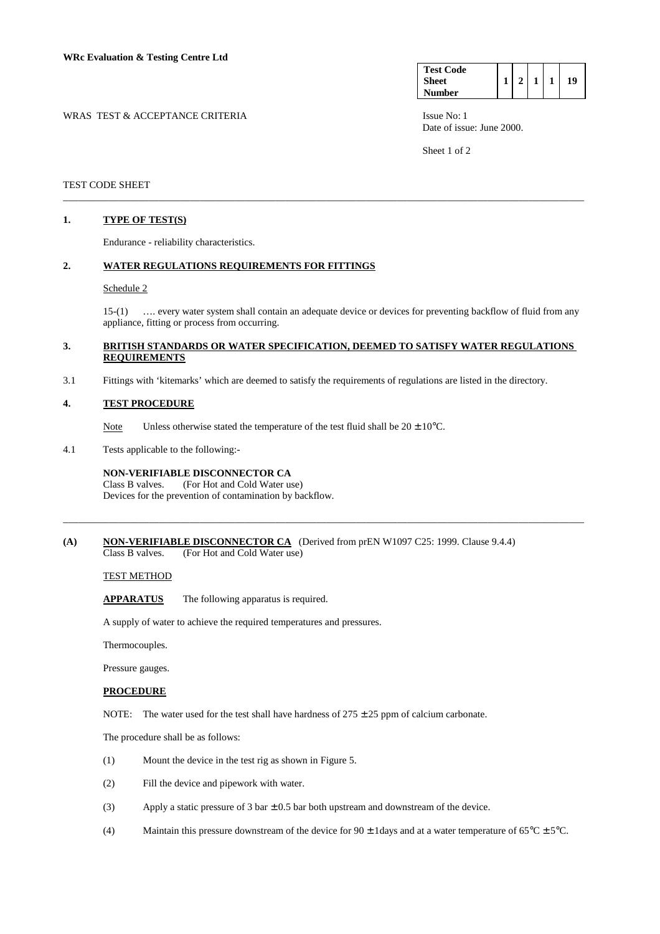| WRAS TEST & ACCEPTANCE CRITERIA | Issue No: 1 |
|---------------------------------|-------------|

| <b>Test Code</b> |  |  |    |
|------------------|--|--|----|
| <b>Sheet</b>     |  |  | 19 |
| <b>Number</b>    |  |  |    |

Date of issue: June 2000.

Sheet 1 of 2

### TEST CODE SHEET

### **1. TYPE OF TEST(S)**

Endurance - reliability characteristics.

### **2. WATER REGULATIONS REQUIREMENTS FOR FITTINGS**

### Schedule 2

 15-(1) …. every water system shall contain an adequate device or devices for preventing backflow of fluid from any appliance, fitting or process from occurring.

### **3. BRITISH STANDARDS OR WATER SPECIFICATION, DEEMED TO SATISFY WATER REGULATIONS REQUIREMENTS**

\_\_\_\_\_\_\_\_\_\_\_\_\_\_\_\_\_\_\_\_\_\_\_\_\_\_\_\_\_\_\_\_\_\_\_\_\_\_\_\_\_\_\_\_\_\_\_\_\_\_\_\_\_\_\_\_\_\_\_\_\_\_\_\_\_\_\_\_\_\_\_\_\_\_\_\_\_\_\_\_\_\_\_\_\_\_\_\_\_\_\_\_\_\_\_\_\_\_\_\_\_\_\_

\_\_\_\_\_\_\_\_\_\_\_\_\_\_\_\_\_\_\_\_\_\_\_\_\_\_\_\_\_\_\_\_\_\_\_\_\_\_\_\_\_\_\_\_\_\_\_\_\_\_\_\_\_\_\_\_\_\_\_\_\_\_\_\_\_\_\_\_\_\_\_\_\_\_\_\_\_\_\_\_\_\_\_\_\_\_\_\_\_\_\_\_\_\_\_\_\_\_\_\_\_\_\_

3.1 Fittings with 'kitemarks' which are deemed to satisfy the requirements of regulations are listed in the directory.

### **4. TEST PROCEDURE**

Note Unless otherwise stated the temperature of the test fluid shall be  $20 \pm 10^{\circ}$ C.

4.1 Tests applicable to the following:-

# **NON-VERIFIABLE DISCONNECTOR CA**<br>Class B valves. (For Hot and Cold Water us

(For Hot and Cold Water use) Devices for the prevention of contamination by backflow.

#### **(A) NON-VERIFIABLE DISCONNECTOR CA** (Derived from prEN W1097 C25: 1999. Clause 9.4.4) Class B valves. (For Hot and Cold Water use)

# TEST METHOD

**APPARATUS** The following apparatus is required.

A supply of water to achieve the required temperatures and pressures.

Thermocouples.

Pressure gauges.

### **PROCEDURE**

NOTE: The water used for the test shall have hardness of  $275 \pm 25$  ppm of calcium carbonate.

The procedure shall be as follows:

- (1) Mount the device in the test rig as shown in Figure 5.
- (2) Fill the device and pipework with water.
- (3) Apply a static pressure of 3 bar  $\pm$  0.5 bar both upstream and downstream of the device.
- (4) Maintain this pressure downstream of the device for  $90 \pm 1$  days and at a water temperature of  $65^{\circ}$ C  $\pm 5^{\circ}$ C.